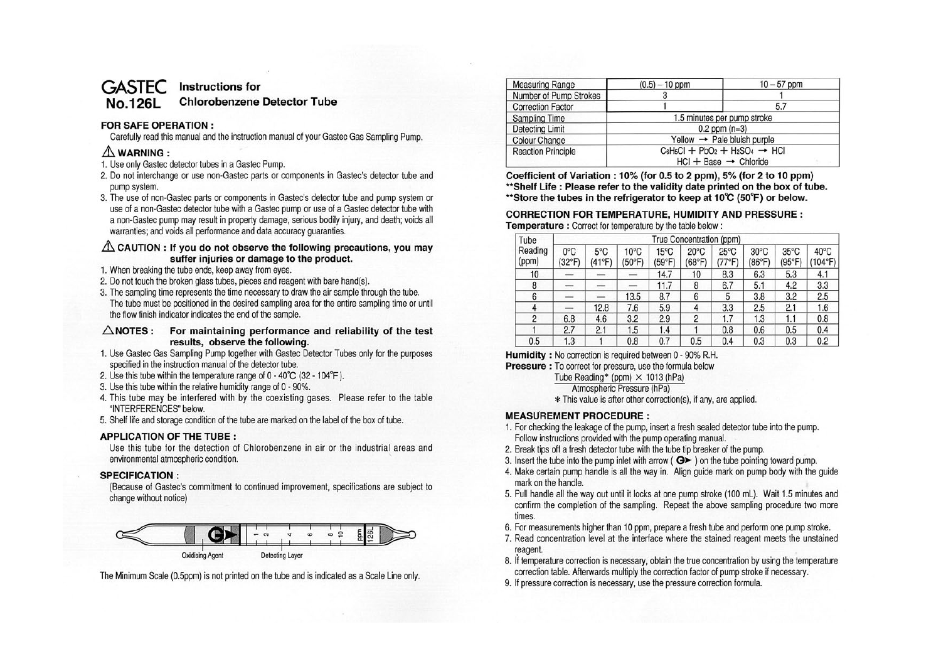#### **GASTEC No.126L Instructions for Chlorobenzene Detector Tube**

### **FOR SAFE OPERATION** :

Carefully read this manual and the instruction manual of your Gastec Gas Sampling Pump.

# **&WARNING:**

- 1. Use only Gastec detector tubes in a Gastec Pump.
- 2. Do not interchange or use non-Gastec parts or components in Gastec's detector tube and pump system.
- 3. The use of non-Gastec parts or components in Gastec's detector tube and pump system or use of a non-Gastec detector tube with a Gastec pump or use of a Gastec detector tube with a non-Gastec pump may result in property damage, serious bodily injury, and death; voids all warranties; and voids all performance and data accuracy guaranties.

### $\triangle$  CAUTION : If you do not observe the following precautions, you may **suffer injuries or damage to the product.**

- 1. When breaking the tube ends, keep away from eyes.
- 2. Do not touch the broken glass tubes, pieces and reagent with bare hand(s).
- 3. The sampling time represents the time necessary to draw the air sample through the tube. The tube must be positioned in the desired sampling area for the entire sampling time or until the flow finish indicator indicates the end of the sample.

**.6.NOTES : For maintaining performance and reliability of the test results, observe the following.** 

- 1. Use Gastec Gas Sampling Pump together with Gastec Detector Tubes only for the purposes specified in the instruction manual of the detector tube.
- 2. Use this tube within the temperature range of 0 40°C (32 104°F).
- 3. Use this tube within the relative humidity range of 0 90%.
- 4. This tube may be interfered with by the coexisting gases. Please refer to the table "INTERFERENCES" below.
- 5. Shelf life and storage condition of the tube are marked on the label of the box of tube.

### **APPLICATION OF THE TUBE:**

Use this tube for the detection of Chlorobenzene in air or the industrial areas and environmental atmospheric condition.

### **SPECIFICATION:**

(Because of Gastec's commitment to continued improvement, specifications are subject to change without notice)



The Minimum Scale (0.5ppm) is not printed on the tube and is indicated as a Scale Line only.

| <b>Measuring Range</b>    | $(0.5) - 10$ ppm                             | $10 - 57$ ppm |  |  |  |
|---------------------------|----------------------------------------------|---------------|--|--|--|
| Number of Pump Strokes    |                                              |               |  |  |  |
| <b>Correction Factor</b>  |                                              | 5.7           |  |  |  |
| <b>Sampling Time</b>      | 1.5 minutes per pump stroke                  |               |  |  |  |
| <b>Detecting Limit</b>    | $0.2$ ppm $(n=3)$                            |               |  |  |  |
| <b>Colour Change</b>      | Yellow $\rightarrow$ Pale bluish purple      |               |  |  |  |
| <b>Reaction Principle</b> | $C_6H_5Cl + PbO_2 + H_2SO_4 \rightarrow HCl$ |               |  |  |  |
|                           | $HCl + Base \rightarrow Chloride$            |               |  |  |  |

Coefficient of Variation : 10% (for 0.5 to 2 ppm), 5% (for 2 to 10 ppm) **\*\*Shelf Life : Please refer to the validity date printed on the box of tube. \*\*Store the tubes in the refrigerator to keep at 10°C (50°F) or below.** 

## **CORRECTION FOR TEMPERATURE, HUMIDITY AND PRESSURE:**

**Temperature** : Correct for temperature by the table below:

| Tube             | True Concentration (ppm) |               |                |                          |                          |                                   |                          |                          |                 |
|------------------|--------------------------|---------------|----------------|--------------------------|--------------------------|-----------------------------------|--------------------------|--------------------------|-----------------|
| Reading<br>(ppm) | $0^{\circ}$ C<br>(32°F)  | 5°C<br>(41°F) | 10°C<br>(50°F) | $15^{\circ}$ C<br>(59°F) | $20^{\circ}$ C<br>(68°F) | $25^{\circ}$ C<br>$(77^{\circ}F)$ | $30^{\circ}$ C<br>(86°F) | $35^{\circ}$ C<br>(95°F) | 40°C<br>(104°F) |
| 10               |                          |               |                | 14.7                     | 10                       | 8.3                               | 6.3                      | 5.3                      | 4.1             |
| 8                |                          |               |                | 11.7                     | 8                        | 6.7                               | 5.1                      | 4.2                      | 3.3             |
| 6                |                          |               | 13.5           | 8.7                      | 6                        | 5                                 | 3.8                      | 3.2                      | 2.5             |
| 4                |                          | 12.8          | 7.6            | 5.9                      | 4                        | 3.3                               | 2.5                      | 2.1                      | 1.6             |
| 2                | 6.8                      | 4.6           | 3.2            | 2.9                      | 2                        | 1.7                               | 1.3                      | 1.1                      | 0.8             |
|                  | 2.7                      | 2.1           | 1.5            | 1.4                      |                          | 0.8                               | 0.6                      | 0.5                      | 0.4             |
| 0.5              | 1.3                      |               | 0.8            | 0.7                      | 0.5                      | 0.4                               | 0.3                      | 0.3                      | 0.2             |

**Humidity** : No correction is required between 0 - 90% R.H.

**Pressure** : To correct for pressure, use the formula below

Tube Reading\* (ppm)  $\times$  1013 (hPa)

Atmospheric Pressure (hPa)

\* This value is after other correction(s), if any, are applied.

### **MEASU'REMENT PROCEDURE** :

- 1. For checking the leakage of the pump, insert a fresh sealed detector tube into the pump. Follow instructions provided with the pump operating manual.
- 2. Break tips off a fresh detector tube with the tube tip breaker of the pump.
- 3. Insert the tube into the pump inlet with arrow ( ► ) on the tube pointing toward pump.
- 4. Make certain pump handle is all the way in. Align guide mark on pump body with the guide mark on the handle.
- 5. Pull handle all the way out until it locks at one pump stroke (100 ml). Wait 1.5 minutes and confirm the completion of the sampling. Repeat the above sampling procedure two more times.
- 6. For measurements higher than 10 ppm, prepare a fresh tube and perform one pump stroke.
- 7. Read concentration level at the interface where the stained reagent meets the unstained reagent.
- 8. If temperature correction is necessary, obtain the true concentration by using the temperature correction table. Afterwards multiply the correction factor of pump stroke if necessary.
- 9. If pressure correction is necessary, use the pressure correction formula.